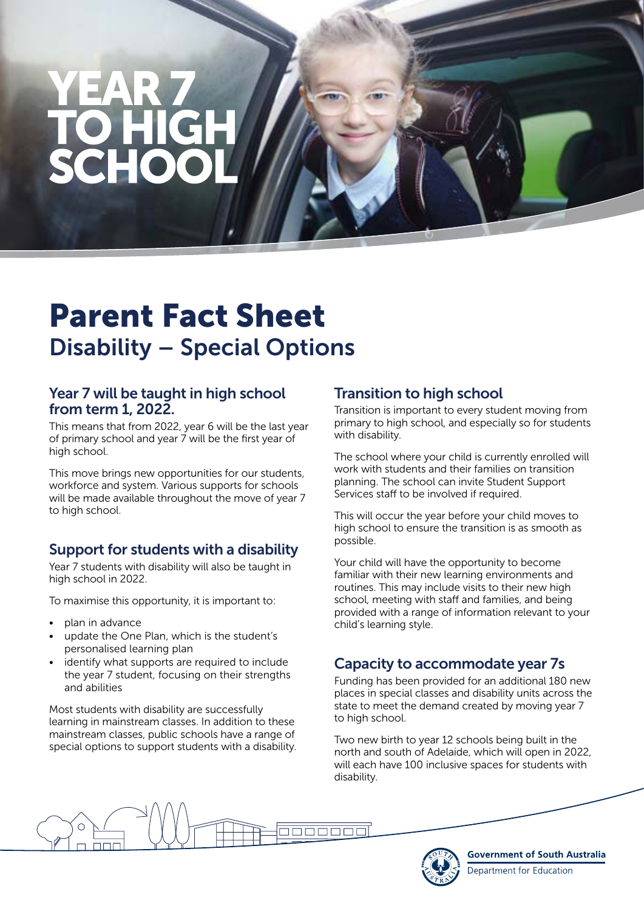# Parent Fact Sheet Disability – Special Options

#### Year 7 will be taught in high school from term 1, 2022.

This means that from 2022, year 6 will be the last year of primary school and year  $\overline{7}$  will be the first year of high school.

This move brings new opportunities for our students, workforce and system. Various supports for schools will be made available throughout the move of year 7 to high school.

# Support for students with a disability

Year 7 students with disability will also be taught in high school in 2022.

To maximise this opportunity, it is important to:

- plan in advance
- update the One Plan, which is the student's personalised learning plan
- identify what supports are required to include the year 7 student, focusing on their strengths and abilities

Most students with disability are successfully learning in mainstream classes. In addition to these mainstream classes, public schools have a range of special options to support students with a disability.

# Transition to high school

Transition is important to every student moving from primary to high school, and especially so for students with disability.

The school where your child is currently enrolled will work with students and their families on transition planning. The school can invite Student Support Services staff to be involved if required.

This will occur the year before your child moves to high school to ensure the transition is as smooth as possible.

Your child will have the opportunity to become familiar with their new learning environments and routines. This may include visits to their new high school, meeting with staff and families, and being provided with a range of information relevant to your child's learning style.

# Capacity to accommodate year 7s

Funding has been provided for an additional 180 new places in special classes and disability units across the state to meet the demand created by moving year 7 to high school.

Two new birth to year 12 schools being built in the north and south of Adelaide, which will open in 2022, will each have 100 inclusive spaces for students with disability.





**Government of South Australia** Department for Education